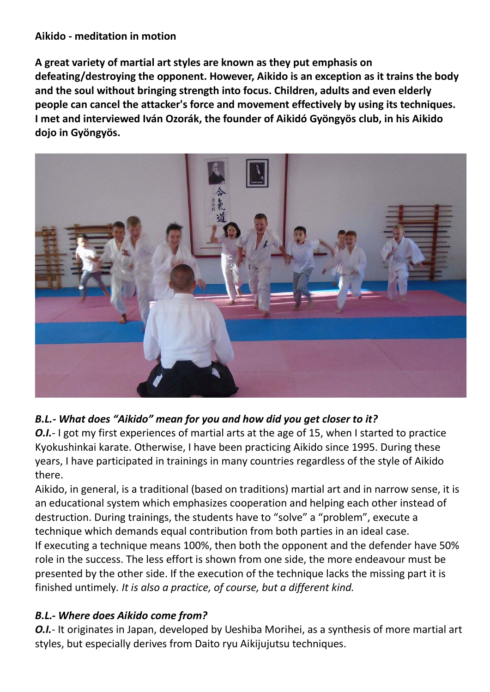#### **Aikido - meditation in motion**

**A great variety of martial art styles are known as they put emphasis on defeating/destroying the opponent. However, Aikido is an exception as it trains the body and the soul without bringing strength into focus. Children, adults and even elderly people can cancel the attacker's force and movement effectively by using its techniques. I met and interviewed Iván Ozorák, the founder of Aikidó Gyöngyös club, in his Aikido dojo in Gyöngyös.**



# *B.L.- What does "Aikido" mean for you and how did you get closer to it?*

*O.I.*- I got my first experiences of martial arts at the age of 15, when I started to practice Kyokushinkai karate. Otherwise, I have been practicing Aikido since 1995. During these years, I have participated in trainings in many countries regardless of the style of Aikido there.

Aikido, in general, is a traditional (based on traditions) martial art and in narrow sense, it is an educational system which emphasizes cooperation and helping each other instead of destruction. During trainings, the students have to "solve" a "problem", execute a technique which demands equal contribution from both parties in an ideal case. If executing a technique means 100%, then both the opponent and the defender have 50% role in the success. The less effort is shown from one side, the more endeavour must be presented by the other side. If the execution of the technique lacks the missing part it is finished untimely*. It is also a practice, of course, but a different kind.* 

### *B.L.- Where does Aikido come from?*

*O.I.*- It originates in Japan, developed by Ueshiba Morihei, as a synthesis of more martial art styles, but especially derives from Daito ryu Aikijujutsu techniques.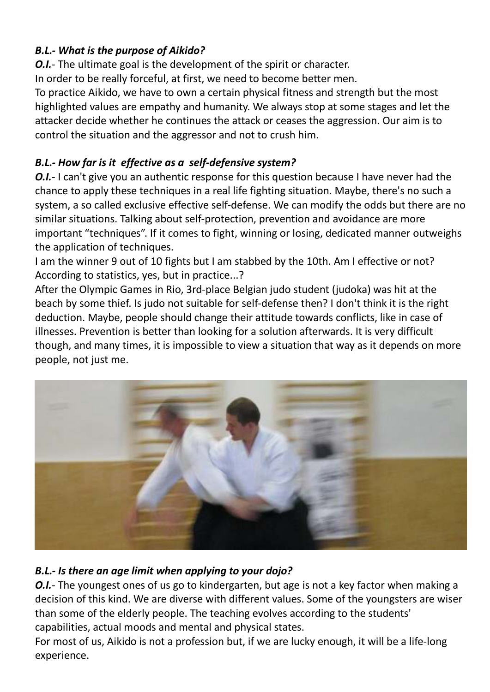# *B.L.- What is the purpose of Aikido?*

*O.I.*- The ultimate goal is the development of the spirit or character. In order to be really forceful, at first, we need to become better men. To practice Aikido, we have to own a certain physical fitness and strength but the most

highlighted values are empathy and humanity. We always stop at some stages and let the attacker decide whether he continues the attack or ceases the aggression. Our aim is to control the situation and the aggressor and not to crush him.

# *B.L.- How far is it effective as a self-defensive system?*

*O.I.*- I can't give you an authentic response for this question because I have never had the chance to apply these techniques in a real life fighting situation. Maybe, there's no such a system, a so called exclusive effective self-defense. We can modify the odds but there are no similar situations. Talking about self-protection, prevention and avoidance are more important "techniques". If it comes to fight, winning or losing, dedicated manner outweighs the application of techniques.

I am the winner 9 out of 10 fights but I am stabbed by the 10th. Am I effective or not? According to statistics, yes, but in practice...?

After the Olympic Games in Rio, 3rd-place Belgian judo student (judoka) was hit at the beach by some thief. Is judo not suitable for self-defense then? I don't think it is the right deduction. Maybe, people should change their attitude towards conflicts, like in case of illnesses. Prevention is better than looking for a solution afterwards. It is very difficult though, and many times, it is impossible to view a situation that way as it depends on more people, not just me.



# *B.L.- Is there an age limit when applying to your dojo?*

*O.I.*- The youngest ones of us go to kindergarten, but age is not a key factor when making a decision of this kind. We are diverse with different values. Some of the youngsters are wiser than some of the elderly people. The teaching evolves according to the students' capabilities, actual moods and mental and physical states.

For most of us, Aikido is not a profession but, if we are lucky enough, it will be a life-long experience.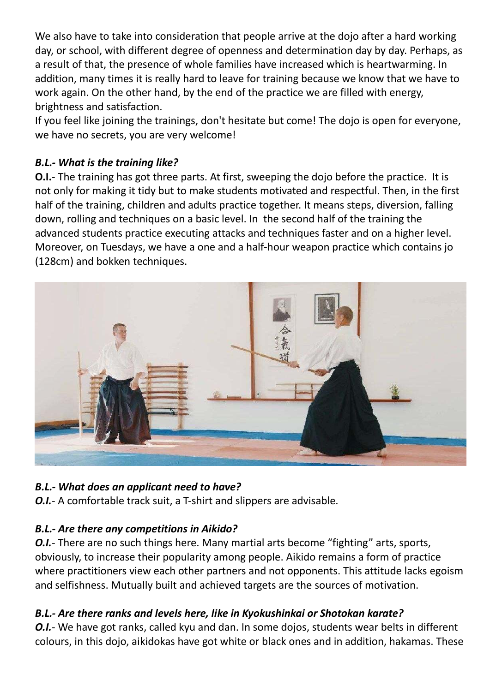We also have to take into consideration that people arrive at the dojo after a hard working day, or school, with different degree of openness and determination day by day. Perhaps, as a result of that, the presence of whole families have increased which is heartwarming. In addition, many times it is really hard to leave for training because we know that we have to work again. On the other hand, by the end of the practice we are filled with energy, brightness and satisfaction.

If you feel like joining the trainings, don't hesitate but come! The dojo is open for everyone, we have no secrets, you are very welcome!

## *B.L.- What is the training like?*

**O.I.**- The training has got three parts. At first, sweeping the dojo before the practice. It is not only for making it tidy but to make students motivated and respectful. Then, in the first half of the training, children and adults practice together. It means steps, diversion, falling down, rolling and techniques on a basic level. In the second half of the training the advanced students practice executing attacks and techniques faster and on a higher level. Moreover, on Tuesdays, we have a one and a half-hour weapon practice which contains jo (128cm) and bokken techniques.



### *B.L.- What does an applicant need to have?*

*O.I.*- A comfortable track suit, a T-shirt and slippers are advisable.

### *B.L.- Are there any competitions in Aikido?*

*O.I.*- There are no such things here. Many martial arts become "fighting" arts, sports, obviously, to increase their popularity among people. Aikido remains a form of practice where practitioners view each other partners and not opponents. This attitude lacks egoism and selfishness. Mutually built and achieved targets are the sources of motivation.

### *B.L.- Are there ranks and levels here, like in Kyokushinkai or Shotokan karate?*

*O.I.*- We have got ranks, called kyu and dan. In some dojos, students wear belts in different colours, in this dojo, aikidokas have got white or black ones and in addition, hakamas. These